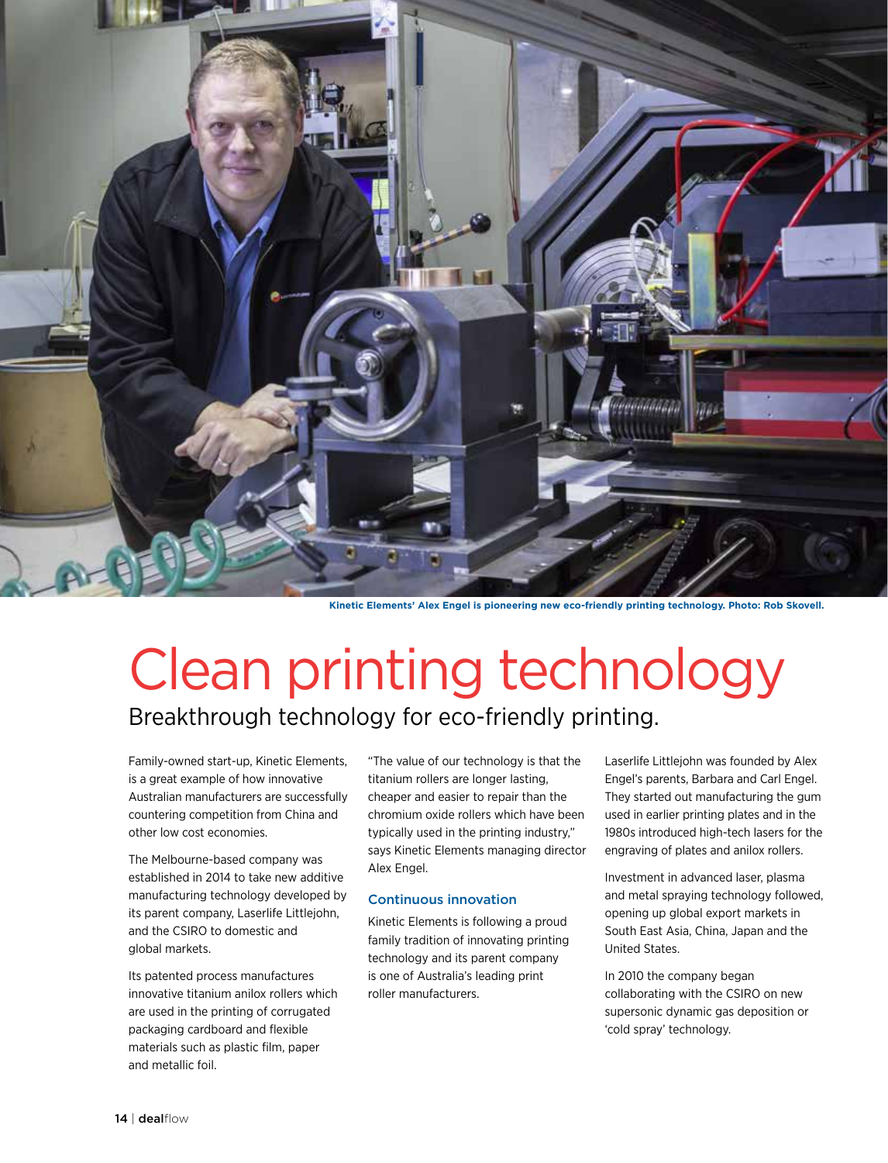

**Kinetic Elements' Alex Engel is pioneering new eco-friendly printing technology. Photo: Rob Skovell.** 

# Clean printing technology Breakthrough technology for eco-friendly printing.

Family-owned start-up, Kinetic Elements, is a great example of how innovative Australian manufacturers are successfully countering competition from China and other low cost economies.

The Melbourne-based company was established in 2014 to take new additive manufacturing technology developed by its parent company, Laserlife Littlejohn, and the CSIRO to domestic and global markets.

Its patented process manufactures innovative titanium anilox rollers which are used in the printing of corrugated packaging cardboard and flexible materials such as plastic film, paper and metallic foil.

"The value of our technology is that the titanium rollers are longer lasting, cheaper and easier to repair than the chromium oxide rollers which have been typically used in the printing industry," says Kinetic Elements managing director Alex Engel.

### Continuous innovation

Kinetic Elements is following a proud family tradition of innovating printing technology and its parent company is one of Australia's leading print roller manufacturers.

Laserlife Littlejohn was founded by Alex Engel's parents, Barbara and Carl Engel. They started out manufacturing the gum used in earlier printing plates and in the 1980s introduced high-tech lasers for the engraving of plates and anilox rollers.

Investment in advanced laser, plasma and metal spraying technology followed, opening up global export markets in South East Asia, China, Japan and the United States.

In 2010 the company began collaborating with the CSIRO on new supersonic dynamic gas deposition or 'cold spray' technology.